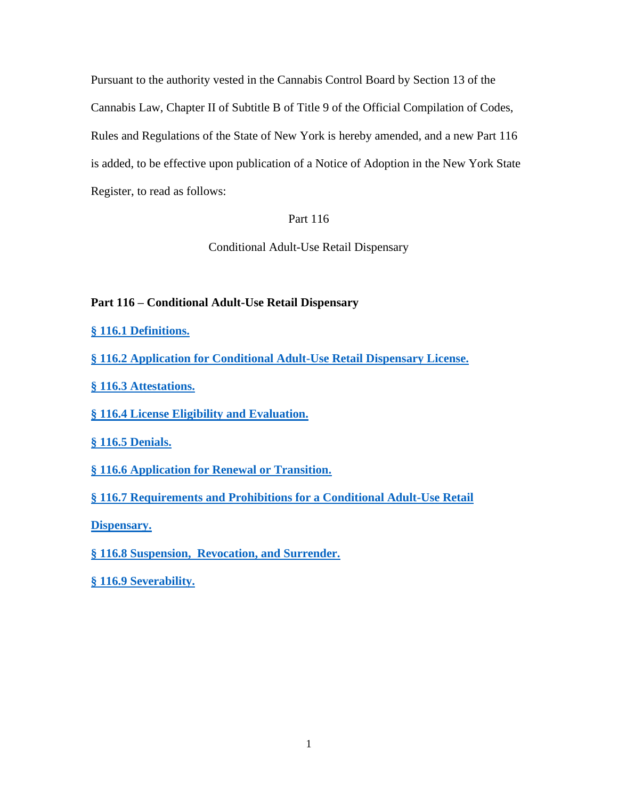Pursuant to the authority vested in the Cannabis Control Board by Section 13 of the Cannabis Law, Chapter II of Subtitle B of Title 9 of the Official Compilation of Codes, Rules and Regulations of the State of New York is hereby amended, and a new Part 116 is added, to be effective upon publication of a Notice of Adoption in the New York State Register, to read as follows:

# Part 116

Conditional Adult-Use Retail Dispensary

# **Part 116 – Conditional Adult-Use Retail Dispensary**

**§ [116.1 Definitions.](#page-1-0)**

**[§ 116.2 Application for Conditional Adult-Use Retail Dispensary License.](#page-9-0)** 

**[§ 116.3 Attestations.](#page-19-0)**

**[§ 116.4 License Eligibility and Evaluation.](#page-22-0)**

**§ 116.5 [Denials.](#page-27-0)**

**§ 116.6 [Application for Renewal or Transition.](#page-28-0)**

**§ 116.7 [Requirements and Prohibitions for a Conditional Adult-Use Retail](#page-30-0)** 

**[Dispensary.](#page-30-0)**

**§ 116.8 [Suspension, Revocation, and Surrender.](#page-33-0)**

**§ 116.9 [Severability.](#page-34-0)**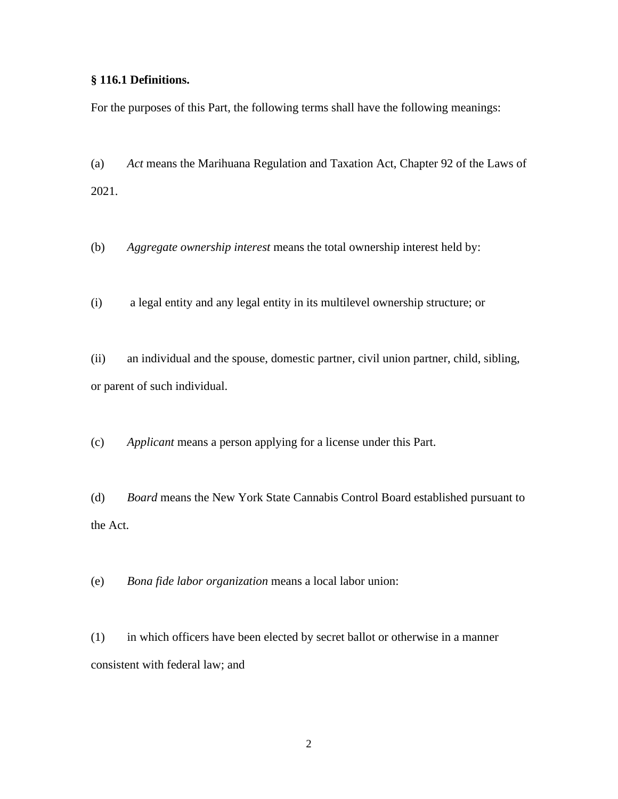## <span id="page-1-0"></span>**§ 116.1 Definitions.**

For the purposes of this Part, the following terms shall have the following meanings:

(a) *Act* means the Marihuana Regulation and Taxation Act, Chapter 92 of the Laws of 2021.

(b) *Aggregate ownership interest* means the total ownership interest held by:

(i) a legal entity and any legal entity in its multilevel ownership structure; or

(ii) an individual and the spouse, domestic partner, civil union partner, child, sibling, or parent of such individual.

(c) *Applicant* means a person applying for a license under this Part.

(d) *Board* means the New York State Cannabis Control Board established pursuant to the Act.

(e) *Bona fide labor organization* means a local labor union:

(1) in which officers have been elected by secret ballot or otherwise in a manner consistent with federal law; and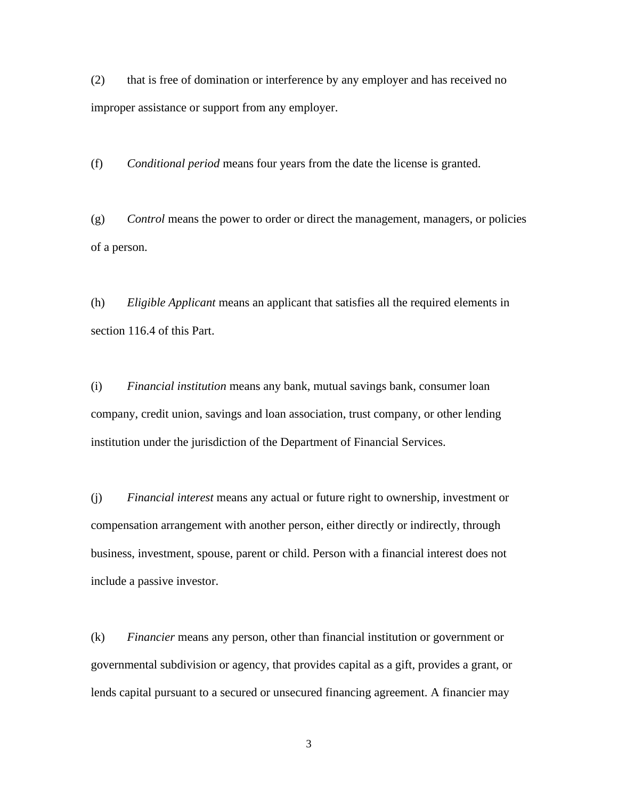(2) that is free of domination or interference by any employer and has received no improper assistance or support from any employer.

(f) *Conditional period* means four years from the date the license is granted.

(g) *Control* means the power to order or direct the management, managers, or policies of a person.

(h) *Eligible Applicant* means an applicant that satisfies all the required elements in section 116.4 of this Part.

(i) *Financial institution* means any bank, mutual savings bank, consumer loan company, credit union, savings and loan association, trust company, or other lending institution under the jurisdiction of the Department of Financial Services.

(j) *Financial interest* means any actual or future right to ownership, investment or compensation arrangement with another person, either directly or indirectly, through business, investment, spouse, parent or child. Person with a financial interest does not include a passive investor.

(k) *Financier* means any person, other than financial institution or government or governmental subdivision or agency, that provides capital as a gift, provides a grant, or lends capital pursuant to a secured or unsecured financing agreement. A financier may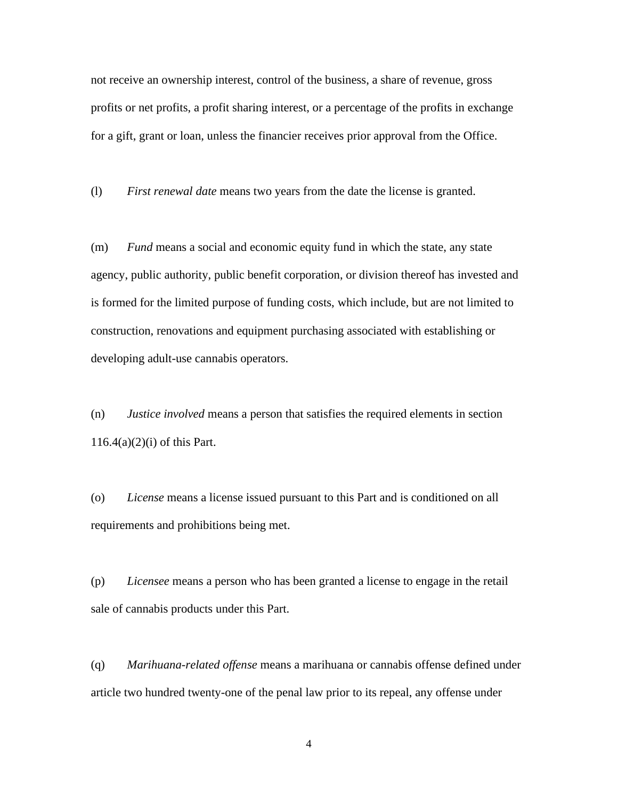not receive an ownership interest, control of the business, a share of revenue, gross profits or net profits, a profit sharing interest, or a percentage of the profits in exchange for a gift, grant or loan, unless the financier receives prior approval from the Office.

(l) *First renewal date* means two years from the date the license is granted.

(m) *Fund* means a social and economic equity fund in which the state, any state agency, public authority, public benefit corporation, or division thereof has invested and is formed for the limited purpose of funding costs, which include, but are not limited to construction, renovations and equipment purchasing associated with establishing or developing adult-use cannabis operators.

(n) *Justice involved* means a person that satisfies the required elements in section  $116.4(a)(2)(i)$  of this Part.

(o) *License* means a license issued pursuant to this Part and is conditioned on all requirements and prohibitions being met.

(p) *Licensee* means a person who has been granted a license to engage in the retail sale of cannabis products under this Part.

(q) *Marihuana-related offense* means a marihuana or cannabis offense defined under article two hundred twenty-one of the penal law prior to its repeal, any offense under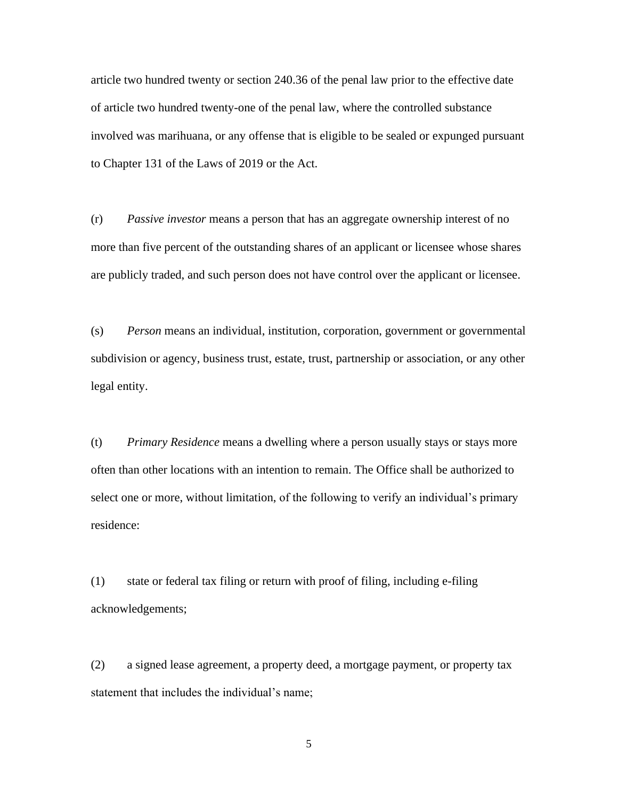article two hundred twenty or section 240.36 of the penal law prior to the effective date of article two hundred twenty-one of the penal law, where the controlled substance involved was marihuana, or any offense that is eligible to be sealed or expunged pursuant to Chapter 131 of the Laws of 2019 or the Act.

(r) *Passive investor* means a person that has an aggregate ownership interest of no more than five percent of the outstanding shares of an applicant or licensee whose shares are publicly traded, and such person does not have control over the applicant or licensee.

(s) *Person* means an individual, institution, corporation, government or governmental subdivision or agency, business trust, estate, trust, partnership or association, or any other legal entity.

(t) *Primary Residence* means a dwelling where a person usually stays or stays more often than other locations with an intention to remain. The Office shall be authorized to select one or more, without limitation, of the following to verify an individual's primary residence:

(1) state or federal tax filing or return with proof of filing, including e-filing acknowledgements;

(2) a signed lease agreement, a property deed, a mortgage payment, or property tax statement that includes the individual's name;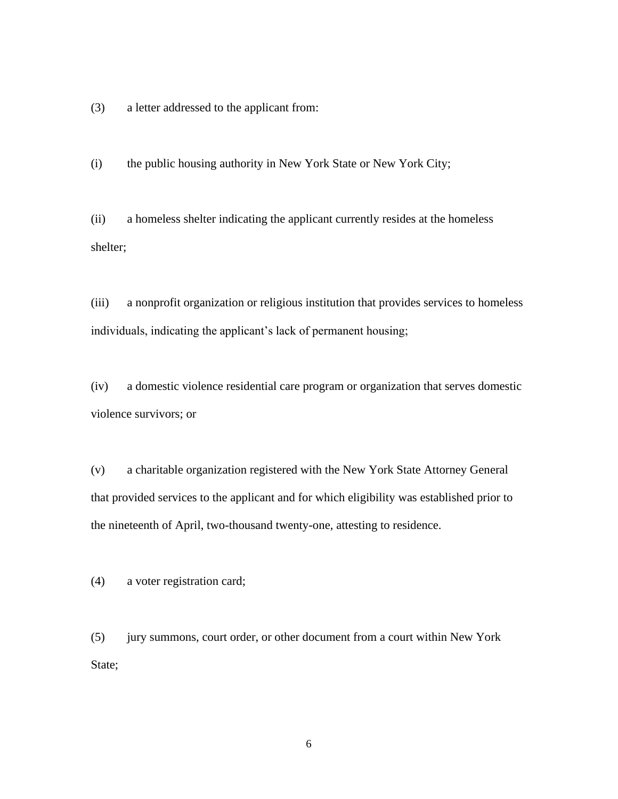(3) a letter addressed to the applicant from:

(i) the public housing authority in New York State or New York City;

(ii) a homeless shelter indicating the applicant currently resides at the homeless shelter;

(iii) a nonprofit organization or religious institution that provides services to homeless individuals, indicating the applicant's lack of permanent housing;

(iv) a domestic violence residential care program or organization that serves domestic violence survivors; or

(v) a charitable organization registered with the New York State Attorney General that provided services to the applicant and for which eligibility was established prior to the nineteenth of April, two-thousand twenty-one, attesting to residence.

(4) a voter registration card;

(5) jury summons, court order, or other document from a court within New York State;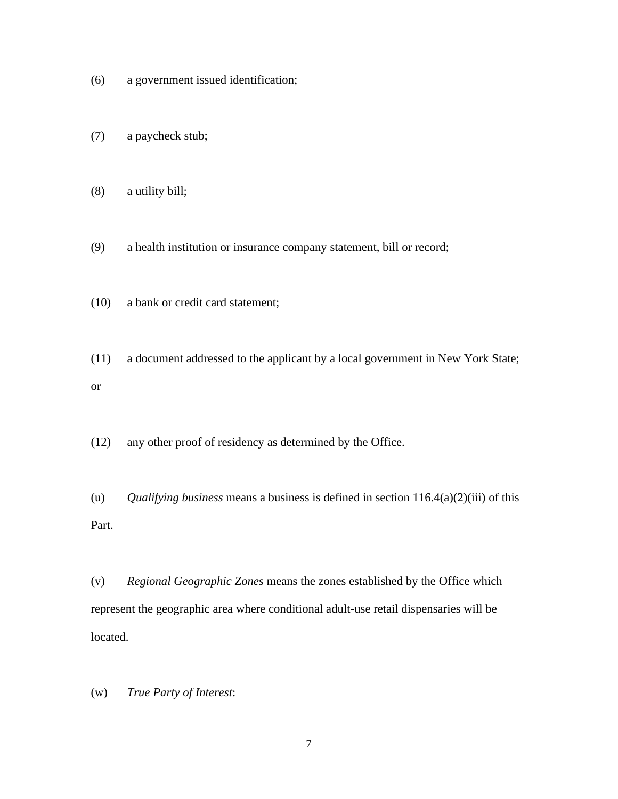- (6) a government issued identification;
- (7) a paycheck stub;
- (8) a utility bill;
- (9) a health institution or insurance company statement, bill or record;
- (10) a bank or credit card statement;
- (11) a document addressed to the applicant by a local government in New York State; or
- (12) any other proof of residency as determined by the Office.
- (u) *Qualifying business* means a business is defined in section 116.4(a)(2)(iii) of this Part.

(v) *Regional Geographic Zones* means the zones established by the Office which represent the geographic area where conditional adult-use retail dispensaries will be located.

(w) *True Party of Interest*: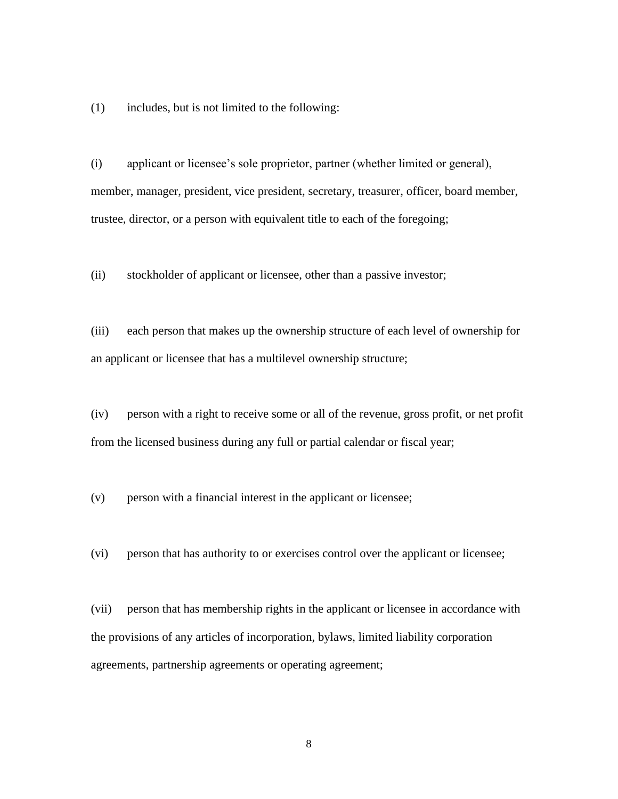(1) includes, but is not limited to the following:

(i) applicant or licensee's sole proprietor, partner (whether limited or general), member, manager, president, vice president, secretary, treasurer, officer, board member, trustee, director, or a person with equivalent title to each of the foregoing;

(ii) stockholder of applicant or licensee, other than a passive investor;

(iii) each person that makes up the ownership structure of each level of ownership for an applicant or licensee that has a multilevel ownership structure;

(iv) person with a right to receive some or all of the revenue, gross profit, or net profit from the licensed business during any full or partial calendar or fiscal year;

(v) person with a financial interest in the applicant or licensee;

(vi) person that has authority to or exercises control over the applicant or licensee;

(vii) person that has membership rights in the applicant or licensee in accordance with the provisions of any articles of incorporation, bylaws, limited liability corporation agreements, partnership agreements or operating agreement;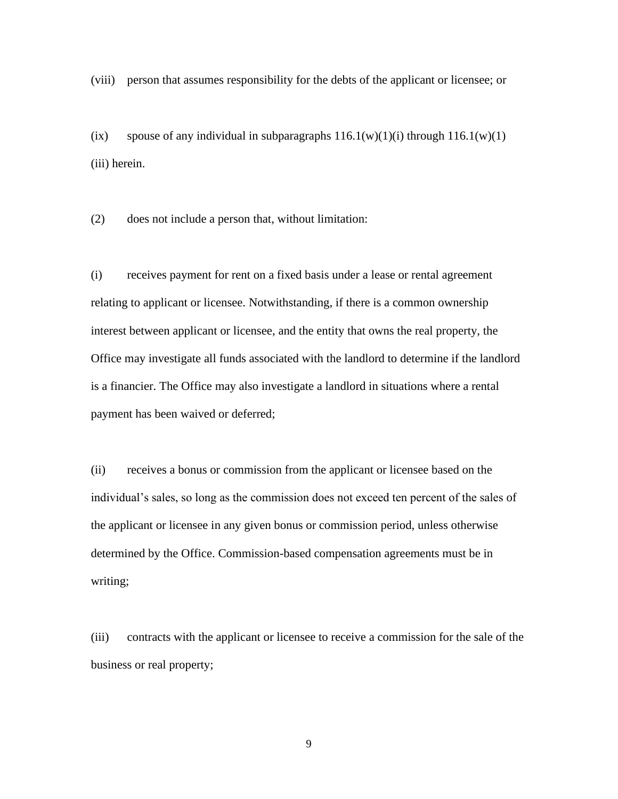(viii) person that assumes responsibility for the debts of the applicant or licensee; or

(ix) spouse of any individual in subparagraphs  $116.1(w)(1)(i)$  through  $116.1(w)(1)$ (iii) herein.

(2) does not include a person that, without limitation:

(i) receives payment for rent on a fixed basis under a lease or rental agreement relating to applicant or licensee. Notwithstanding, if there is a common ownership interest between applicant or licensee, and the entity that owns the real property, the Office may investigate all funds associated with the landlord to determine if the landlord is a financier. The Office may also investigate a landlord in situations where a rental payment has been waived or deferred;

(ii) receives a bonus or commission from the applicant or licensee based on the individual's sales, so long as the commission does not exceed ten percent of the sales of the applicant or licensee in any given bonus or commission period, unless otherwise determined by the Office. Commission-based compensation agreements must be in writing;

(iii) contracts with the applicant or licensee to receive a commission for the sale of the business or real property;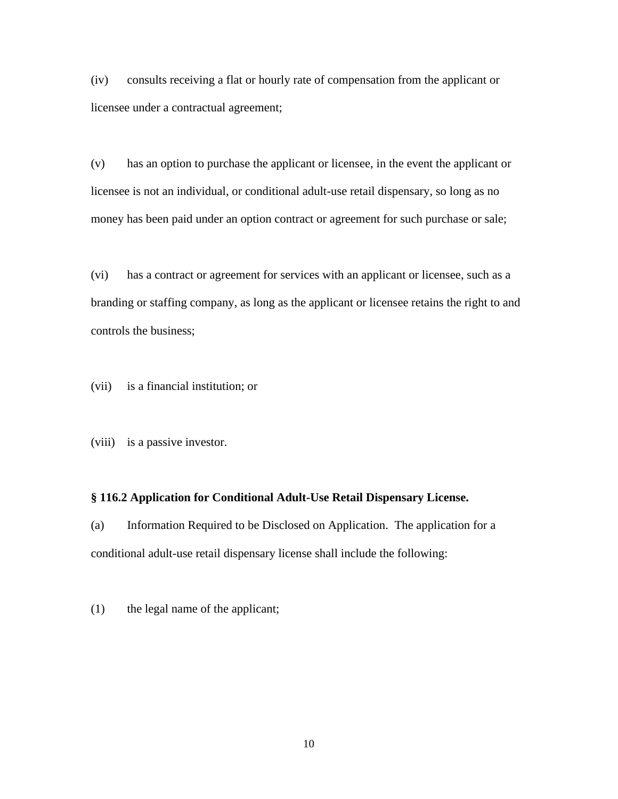(iv) consults receiving a flat or hourly rate of compensation from the applicant or licensee under a contractual agreement;

(v) has an option to purchase the applicant or licensee, in the event the applicant or licensee is not an individual, or conditional adult-use retail dispensary, so long as no money has been paid under an option contract or agreement for such purchase or sale;

(vi) has a contract or agreement for services with an applicant or licensee, such as a branding or staffing company, as long as the applicant or licensee retains the right to and controls the business;

(vii) is a financial institution; or

(viii) is a passive investor.

#### <span id="page-9-0"></span>**§ 116.2 Application for Conditional Adult-Use Retail Dispensary License.**

(a) Information Required to be Disclosed on Application. The application for a conditional adult-use retail dispensary license shall include the following:

(1) the legal name of the applicant;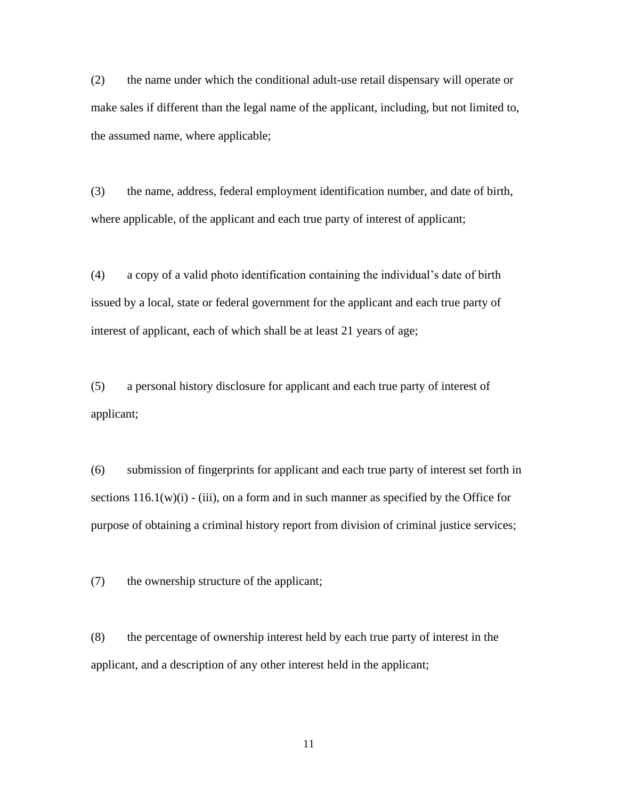(2) the name under which the conditional adult-use retail dispensary will operate or make sales if different than the legal name of the applicant, including, but not limited to, the assumed name, where applicable;

(3) the name, address, federal employment identification number, and date of birth, where applicable, of the applicant and each true party of interest of applicant;

(4) a copy of a valid photo identification containing the individual's date of birth issued by a local, state or federal government for the applicant and each true party of interest of applicant, each of which shall be at least 21 years of age;

(5) a personal history disclosure for applicant and each true party of interest of applicant;

(6) submission of fingerprints for applicant and each true party of interest set forth in sections  $116.1(w)(i)$  - (iii), on a form and in such manner as specified by the Office for purpose of obtaining a criminal history report from division of criminal justice services;

(7) the ownership structure of the applicant;

(8) the percentage of ownership interest held by each true party of interest in the applicant, and a description of any other interest held in the applicant;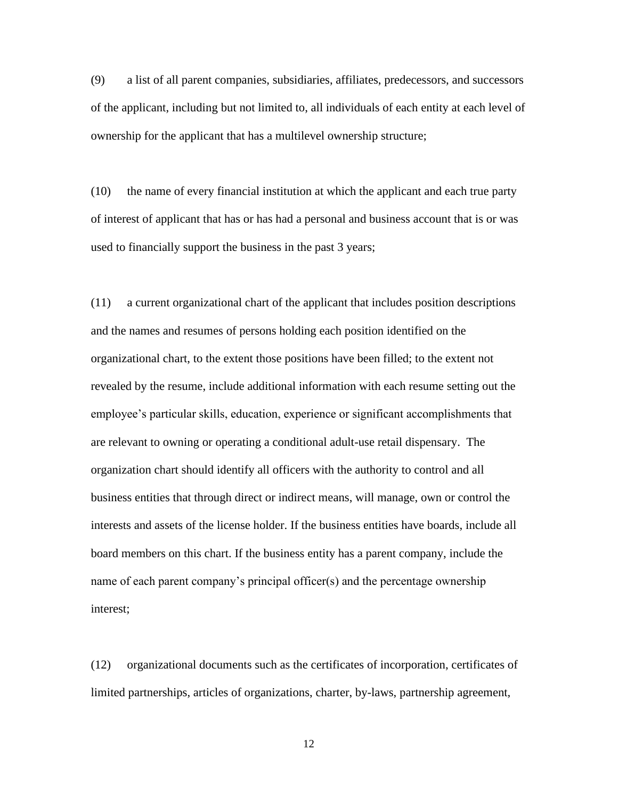(9) a list of all parent companies, subsidiaries, affiliates, predecessors, and successors of the applicant, including but not limited to, all individuals of each entity at each level of ownership for the applicant that has a multilevel ownership structure;

(10) the name of every financial institution at which the applicant and each true party of interest of applicant that has or has had a personal and business account that is or was used to financially support the business in the past 3 years;

(11) a current organizational chart of the applicant that includes position descriptions and the names and resumes of persons holding each position identified on the organizational chart, to the extent those positions have been filled; to the extent not revealed by the resume, include additional information with each resume setting out the employee's particular skills, education, experience or significant accomplishments that are relevant to owning or operating a conditional adult-use retail dispensary. The organization chart should identify all officers with the authority to control and all business entities that through direct or indirect means, will manage, own or control the interests and assets of the license holder. If the business entities have boards, include all board members on this chart. If the business entity has a parent company, include the name of each parent company's principal officer(s) and the percentage ownership interest;

(12) organizational documents such as the certificates of incorporation, certificates of limited partnerships, articles of organizations, charter, by-laws, partnership agreement,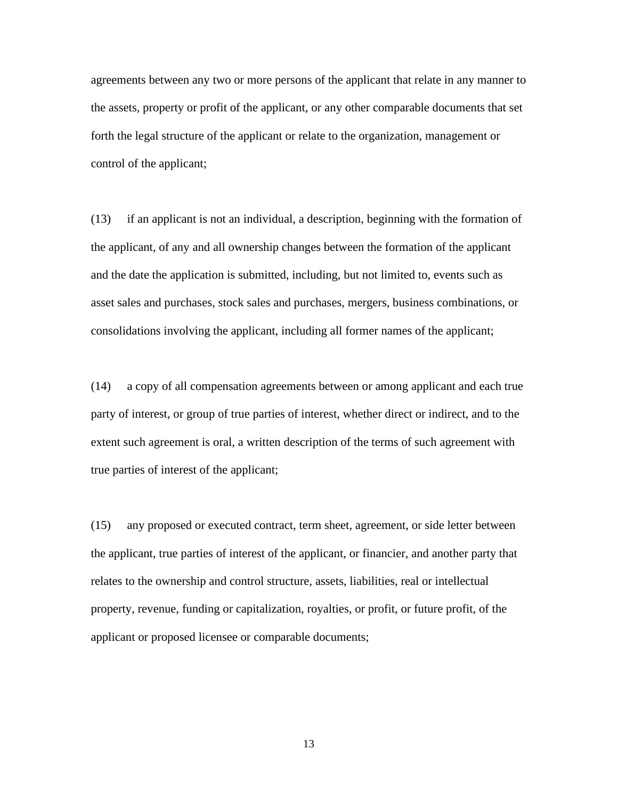agreements between any two or more persons of the applicant that relate in any manner to the assets, property or profit of the applicant, or any other comparable documents that set forth the legal structure of the applicant or relate to the organization, management or control of the applicant;

(13) if an applicant is not an individual, a description, beginning with the formation of the applicant, of any and all ownership changes between the formation of the applicant and the date the application is submitted, including, but not limited to, events such as asset sales and purchases, stock sales and purchases, mergers, business combinations, or consolidations involving the applicant, including all former names of the applicant;

(14) a copy of all compensation agreements between or among applicant and each true party of interest, or group of true parties of interest, whether direct or indirect, and to the extent such agreement is oral, a written description of the terms of such agreement with true parties of interest of the applicant;

(15) any proposed or executed contract, term sheet, agreement, or side letter between the applicant, true parties of interest of the applicant, or financier, and another party that relates to the ownership and control structure, assets, liabilities, real or intellectual property, revenue, funding or capitalization, royalties, or profit, or future profit, of the applicant or proposed licensee or comparable documents;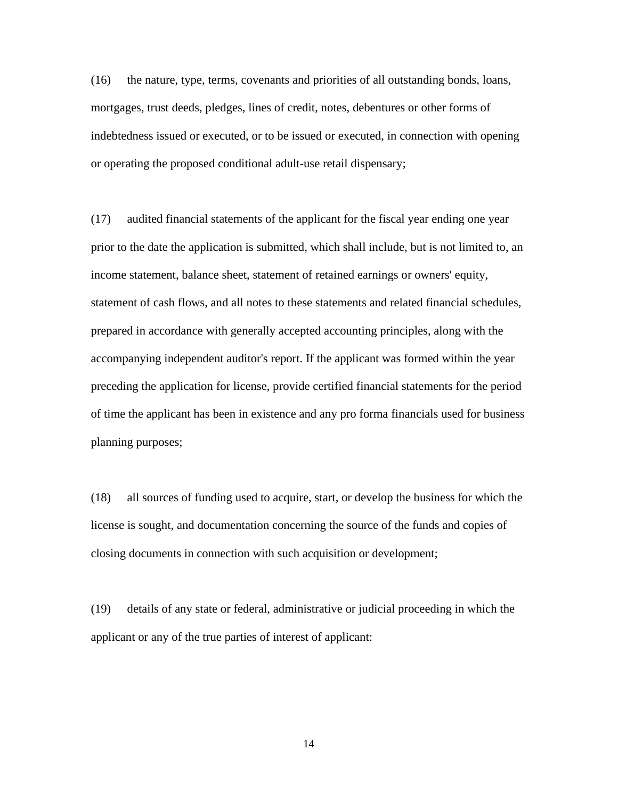(16) the nature, type, terms, covenants and priorities of all outstanding bonds, loans, mortgages, trust deeds, pledges, lines of credit, notes, debentures or other forms of indebtedness issued or executed, or to be issued or executed, in connection with opening or operating the proposed conditional adult-use retail dispensary;

(17) audited financial statements of the applicant for the fiscal year ending one year prior to the date the application is submitted, which shall include, but is not limited to, an income statement, balance sheet, statement of retained earnings or owners' equity, statement of cash flows, and all notes to these statements and related financial schedules, prepared in accordance with generally accepted accounting principles, along with the accompanying independent auditor's report. If the applicant was formed within the year preceding the application for license, provide certified financial statements for the period of time the applicant has been in existence and any pro forma financials used for business planning purposes;

(18) all sources of funding used to acquire, start, or develop the business for which the license is sought, and documentation concerning the source of the funds and copies of closing documents in connection with such acquisition or development;

(19) details of any state or federal, administrative or judicial proceeding in which the applicant or any of the true parties of interest of applicant: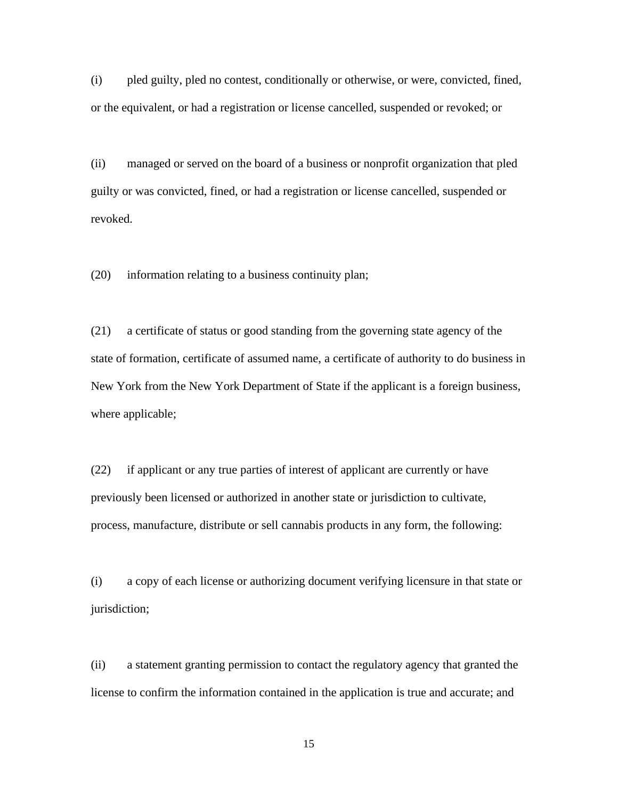(i) pled guilty, pled no contest, conditionally or otherwise, or were, convicted, fined, or the equivalent, or had a registration or license cancelled, suspended or revoked; or

(ii) managed or served on the board of a business or nonprofit organization that pled guilty or was convicted, fined, or had a registration or license cancelled, suspended or revoked.

(20) information relating to a business continuity plan;

(21) a certificate of status or good standing from the governing state agency of the state of formation, certificate of assumed name, a certificate of authority to do business in New York from the New York Department of State if the applicant is a foreign business, where applicable;

(22) if applicant or any true parties of interest of applicant are currently or have previously been licensed or authorized in another state or jurisdiction to cultivate, process, manufacture, distribute or sell cannabis products in any form, the following:

(i) a copy of each license or authorizing document verifying licensure in that state or jurisdiction;

(ii) a statement granting permission to contact the regulatory agency that granted the license to confirm the information contained in the application is true and accurate; and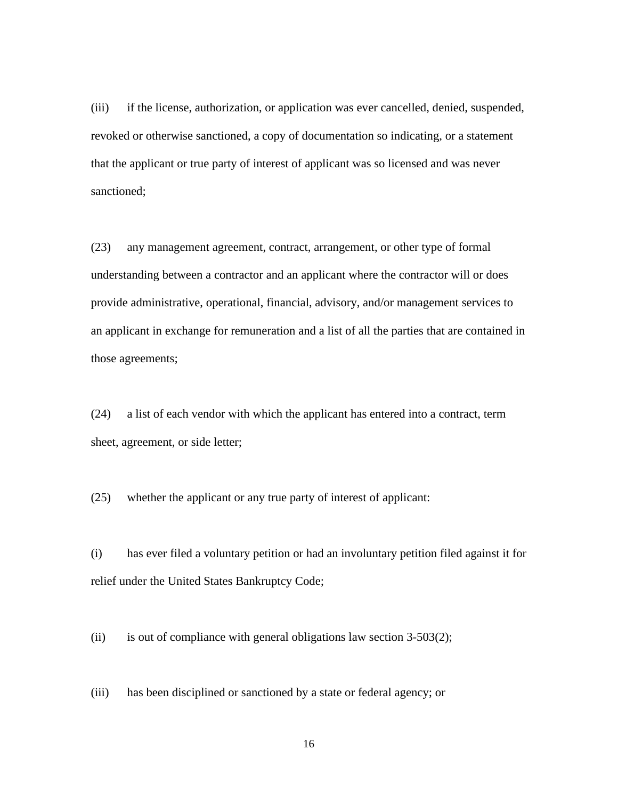(iii) if the license, authorization, or application was ever cancelled, denied, suspended, revoked or otherwise sanctioned, a copy of documentation so indicating, or a statement that the applicant or true party of interest of applicant was so licensed and was never sanctioned;

(23) any management agreement, contract, arrangement, or other type of formal understanding between a contractor and an applicant where the contractor will or does provide administrative, operational, financial, advisory, and/or management services to an applicant in exchange for remuneration and a list of all the parties that are contained in those agreements;

(24) a list of each vendor with which the applicant has entered into a contract, term sheet, agreement, or side letter;

(25) whether the applicant or any true party of interest of applicant:

(i) has ever filed a voluntary petition or had an involuntary petition filed against it for relief under the United States Bankruptcy Code;

(ii) is out of compliance with general obligations law section  $3-503(2)$ ;

(iii) has been disciplined or sanctioned by a state or federal agency; or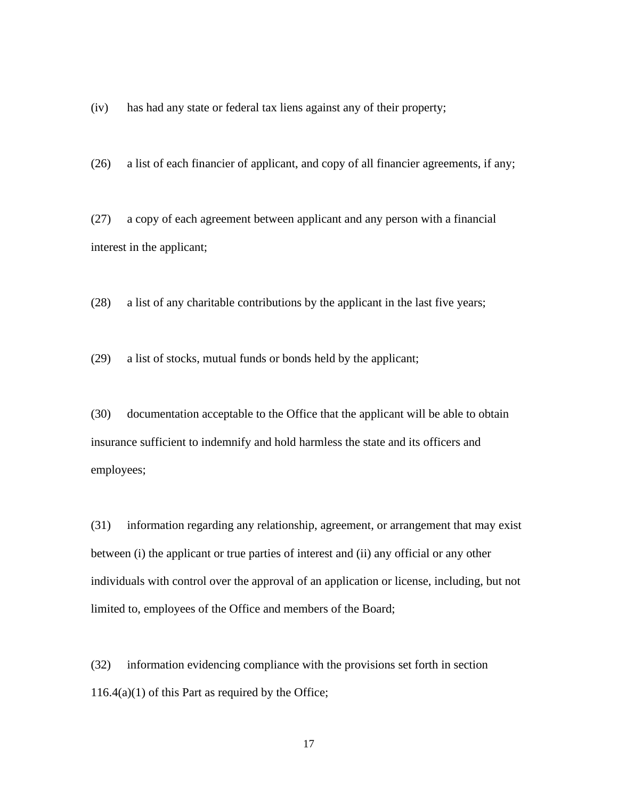(iv) has had any state or federal tax liens against any of their property;

(26) a list of each financier of applicant, and copy of all financier agreements, if any;

(27) a copy of each agreement between applicant and any person with a financial interest in the applicant;

(28) a list of any charitable contributions by the applicant in the last five years;

(29) a list of stocks, mutual funds or bonds held by the applicant;

(30) documentation acceptable to the Office that the applicant will be able to obtain insurance sufficient to indemnify and hold harmless the state and its officers and employees;

(31) information regarding any relationship, agreement, or arrangement that may exist between (i) the applicant or true parties of interest and (ii) any official or any other individuals with control over the approval of an application or license, including, but not limited to, employees of the Office and members of the Board;

(32) information evidencing compliance with the provisions set forth in section  $116.4(a)(1)$  of this Part as required by the Office;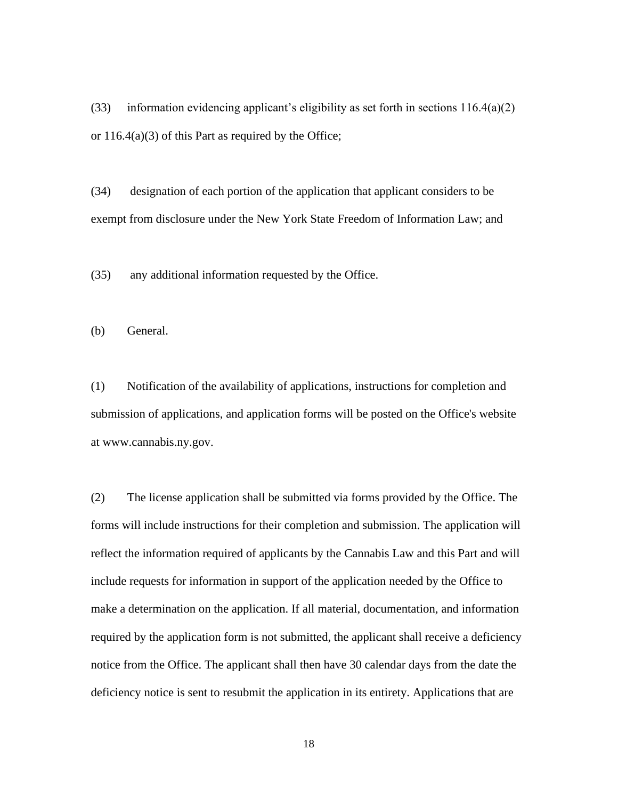(33) information evidencing applicant's eligibility as set forth in sections  $116.4(a)(2)$ or 116.4(a)(3) of this Part as required by the Office;

(34) designation of each portion of the application that applicant considers to be exempt from disclosure under the New York State Freedom of Information Law; and

(35) any additional information requested by the Office.

(b) General.

(1) Notification of the availability of applications, instructions for completion and submission of applications, and application forms will be posted on the Office's website at www.cannabis.ny.gov.

(2) The license application shall be submitted via forms provided by the Office. The forms will include instructions for their completion and submission. The application will reflect the information required of applicants by the Cannabis Law and this Part and will include requests for information in support of the application needed by the Office to make a determination on the application. If all material, documentation, and information required by the application form is not submitted, the applicant shall receive a deficiency notice from the Office. The applicant shall then have 30 calendar days from the date the deficiency notice is sent to resubmit the application in its entirety. Applications that are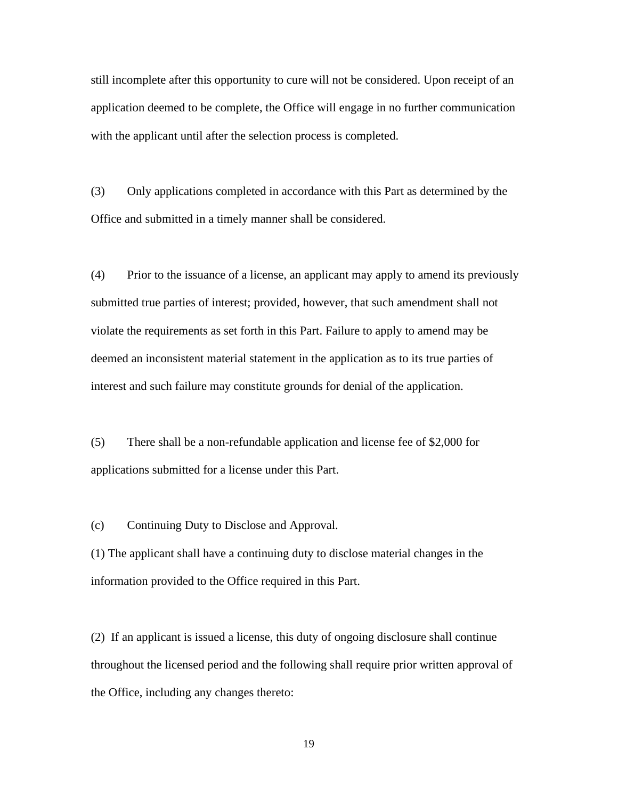still incomplete after this opportunity to cure will not be considered. Upon receipt of an application deemed to be complete, the Office will engage in no further communication with the applicant until after the selection process is completed.

(3) Only applications completed in accordance with this Part as determined by the Office and submitted in a timely manner shall be considered.

(4) Prior to the issuance of a license, an applicant may apply to amend its previously submitted true parties of interest; provided, however, that such amendment shall not violate the requirements as set forth in this Part. Failure to apply to amend may be deemed an inconsistent material statement in the application as to its true parties of interest and such failure may constitute grounds for denial of the application.

(5) There shall be a non-refundable application and license fee of \$2,000 for applications submitted for a license under this Part.

(c) Continuing Duty to Disclose and Approval.

(1) The applicant shall have a continuing duty to disclose material changes in the information provided to the Office required in this Part.

(2) If an applicant is issued a license, this duty of ongoing disclosure shall continue throughout the licensed period and the following shall require prior written approval of the Office, including any changes thereto: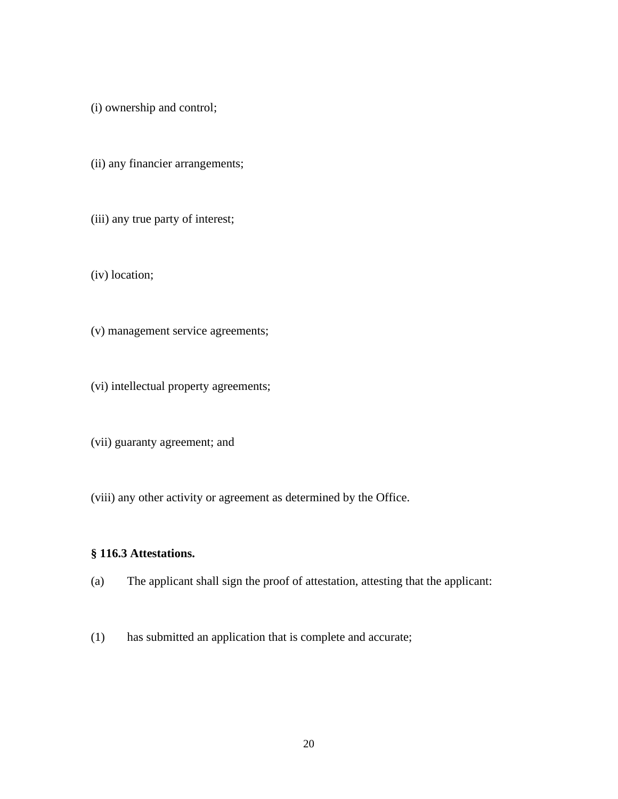(i) ownership and control;

(ii) any financier arrangements;

(iii) any true party of interest;

(iv) location;

(v) management service agreements;

(vi) intellectual property agreements;

(vii) guaranty agreement; and

(viii) any other activity or agreement as determined by the Office.

# <span id="page-19-0"></span>**§ 116.3 Attestations.**

(a) The applicant shall sign the proof of attestation, attesting that the applicant:

(1) has submitted an application that is complete and accurate;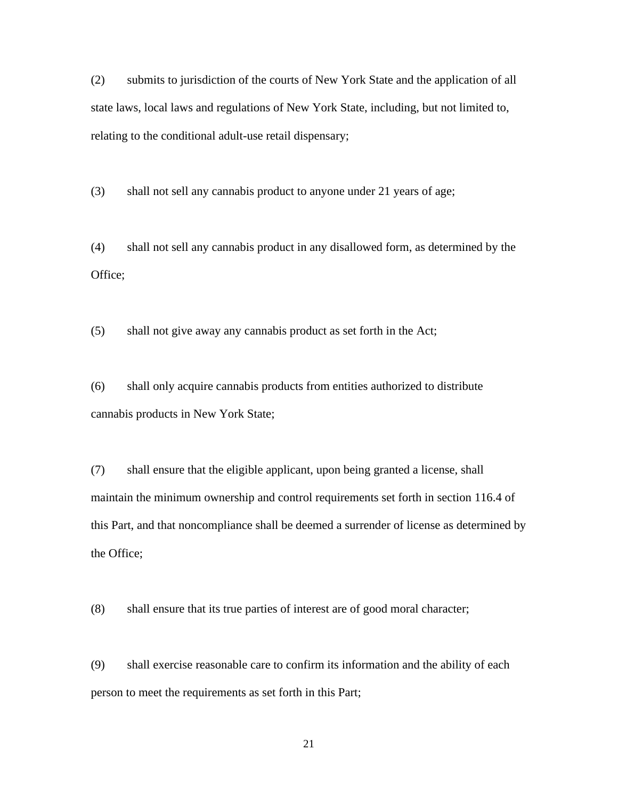(2) submits to jurisdiction of the courts of New York State and the application of all state laws, local laws and regulations of New York State, including, but not limited to, relating to the conditional adult-use retail dispensary;

(3) shall not sell any cannabis product to anyone under 21 years of age;

(4) shall not sell any cannabis product in any disallowed form, as determined by the Office;

(5) shall not give away any cannabis product as set forth in the Act;

(6) shall only acquire cannabis products from entities authorized to distribute cannabis products in New York State;

(7) shall ensure that the eligible applicant, upon being granted a license, shall maintain the minimum ownership and control requirements set forth in section 116.4 of this Part, and that noncompliance shall be deemed a surrender of license as determined by the Office;

(8) shall ensure that its true parties of interest are of good moral character;

(9) shall exercise reasonable care to confirm its information and the ability of each person to meet the requirements as set forth in this Part;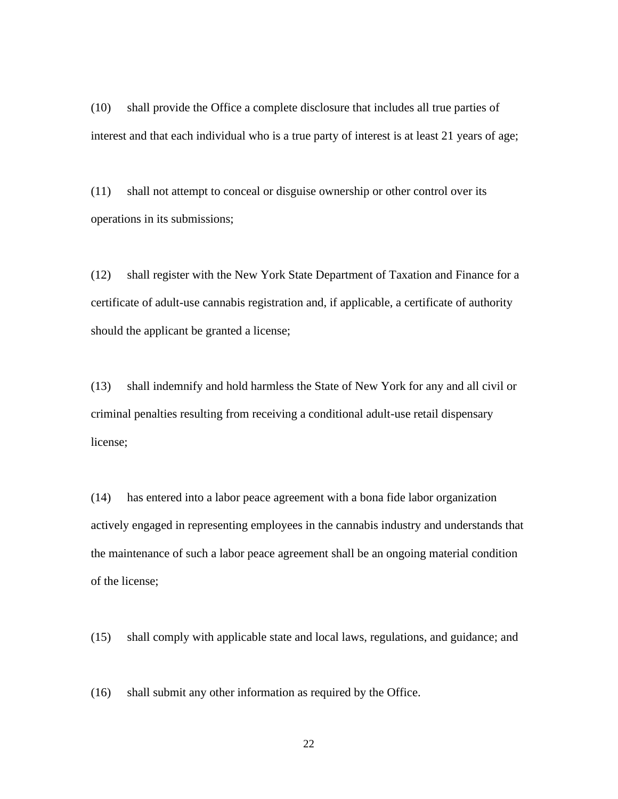(10) shall provide the Office a complete disclosure that includes all true parties of interest and that each individual who is a true party of interest is at least 21 years of age;

(11) shall not attempt to conceal or disguise ownership or other control over its operations in its submissions;

(12) shall register with the New York State Department of Taxation and Finance for a certificate of adult-use cannabis registration and, if applicable, a certificate of authority should the applicant be granted a license;

(13) shall indemnify and hold harmless the State of New York for any and all civil or criminal penalties resulting from receiving a conditional adult-use retail dispensary license;

(14) has entered into a labor peace agreement with a bona fide labor organization actively engaged in representing employees in the cannabis industry and understands that the maintenance of such a labor peace agreement shall be an ongoing material condition of the license;

(15) shall comply with applicable state and local laws, regulations, and guidance; and

(16) shall submit any other information as required by the Office.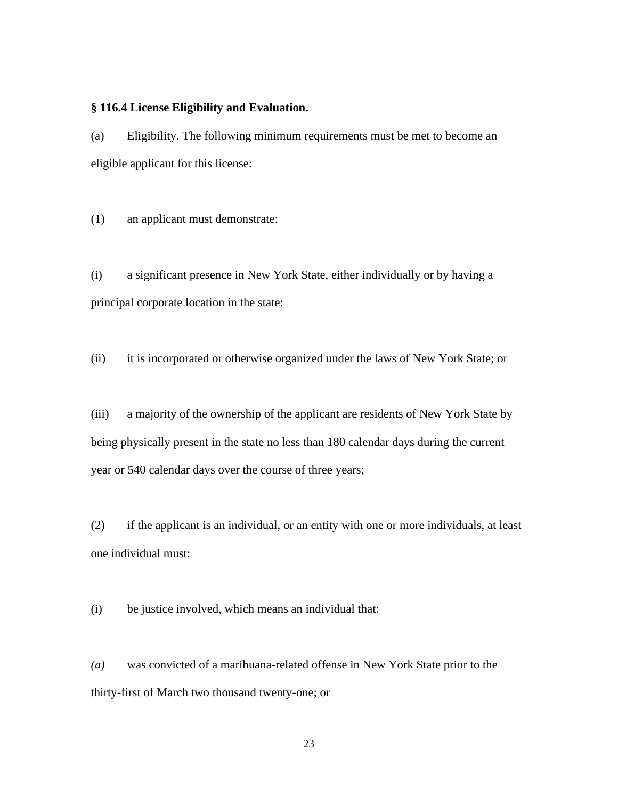#### <span id="page-22-0"></span>**§ 116.4 License Eligibility and Evaluation.**

(a) Eligibility. The following minimum requirements must be met to become an eligible applicant for this license:

(1) an applicant must demonstrate:

(i) a significant presence in New York State, either individually or by having a principal corporate location in the state:

(ii) it is incorporated or otherwise organized under the laws of New York State; or

(iii) a majority of the ownership of the applicant are residents of New York State by being physically present in the state no less than 180 calendar days during the current year or 540 calendar days over the course of three years;

(2) if the applicant is an individual, or an entity with one or more individuals, at least one individual must:

(i) be justice involved, which means an individual that:

*(a)* was convicted of a marihuana-related offense in New York State prior to the thirty-first of March two thousand twenty-one; or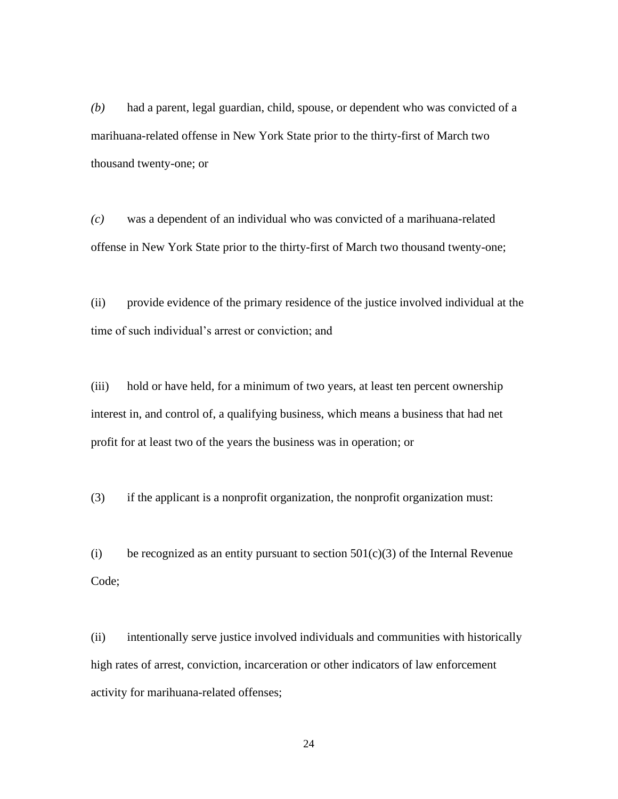*(b)* had a parent, legal guardian, child, spouse, or dependent who was convicted of a marihuana-related offense in New York State prior to the thirty-first of March two thousand twenty-one; or

*(c)* was a dependent of an individual who was convicted of a marihuana-related offense in New York State prior to the thirty-first of March two thousand twenty-one;

(ii) provide evidence of the primary residence of the justice involved individual at the time of such individual's arrest or conviction; and

(iii) hold or have held, for a minimum of two years, at least ten percent ownership interest in, and control of, a qualifying business, which means a business that had net profit for at least two of the years the business was in operation; or

(3) if the applicant is a nonprofit organization, the nonprofit organization must:

(i) be recognized as an entity pursuant to section  $501(c)(3)$  of the Internal Revenue Code;

(ii) intentionally serve justice involved individuals and communities with historically high rates of arrest, conviction, incarceration or other indicators of law enforcement activity for marihuana-related offenses;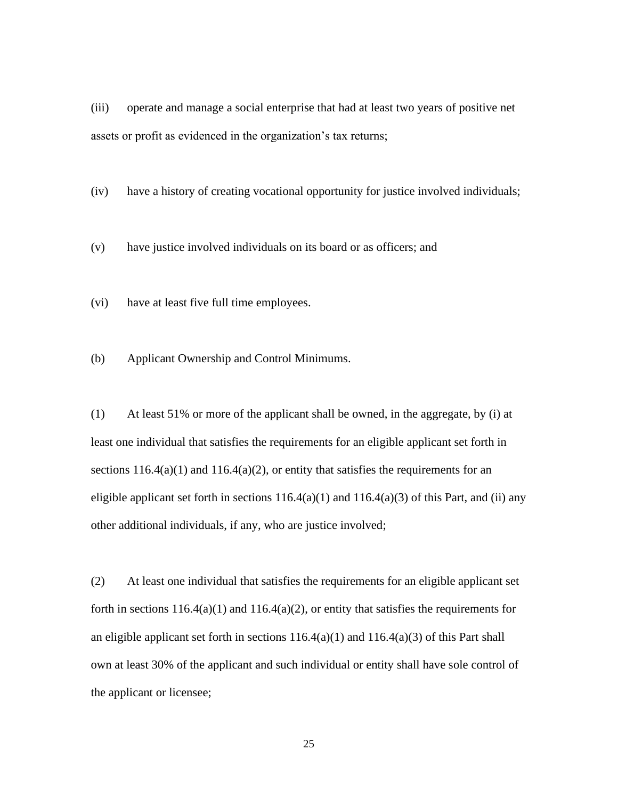(iii) operate and manage a social enterprise that had at least two years of positive net assets or profit as evidenced in the organization's tax returns;

(iv) have a history of creating vocational opportunity for justice involved individuals;

(v) have justice involved individuals on its board or as officers; and

(vi) have at least five full time employees.

(b) Applicant Ownership and Control Minimums.

(1) At least 51% or more of the applicant shall be owned, in the aggregate, by (i) at least one individual that satisfies the requirements for an eligible applicant set forth in sections  $116.4(a)(1)$  and  $116.4(a)(2)$ , or entity that satisfies the requirements for an eligible applicant set forth in sections  $116.4(a)(1)$  and  $116.4(a)(3)$  of this Part, and (ii) any other additional individuals, if any, who are justice involved;

(2) At least one individual that satisfies the requirements for an eligible applicant set forth in sections  $116.4(a)(1)$  and  $116.4(a)(2)$ , or entity that satisfies the requirements for an eligible applicant set forth in sections  $116.4(a)(1)$  and  $116.4(a)(3)$  of this Part shall own at least 30% of the applicant and such individual or entity shall have sole control of the applicant or licensee;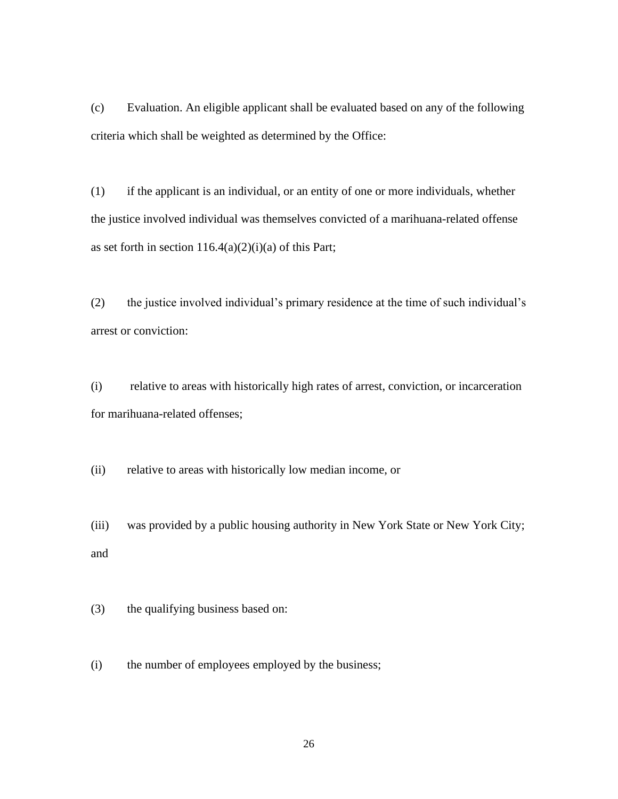(c) Evaluation. An eligible applicant shall be evaluated based on any of the following criteria which shall be weighted as determined by the Office:

(1) if the applicant is an individual, or an entity of one or more individuals, whether the justice involved individual was themselves convicted of a marihuana-related offense as set forth in section  $116.4(a)(2)(i)(a)$  of this Part;

(2) the justice involved individual's primary residence at the time of such individual's arrest or conviction:

(i) relative to areas with historically high rates of arrest, conviction, or incarceration for marihuana-related offenses;

(ii) relative to areas with historically low median income, or

(iii) was provided by a public housing authority in New York State or New York City; and

(3) the qualifying business based on:

(i) the number of employees employed by the business;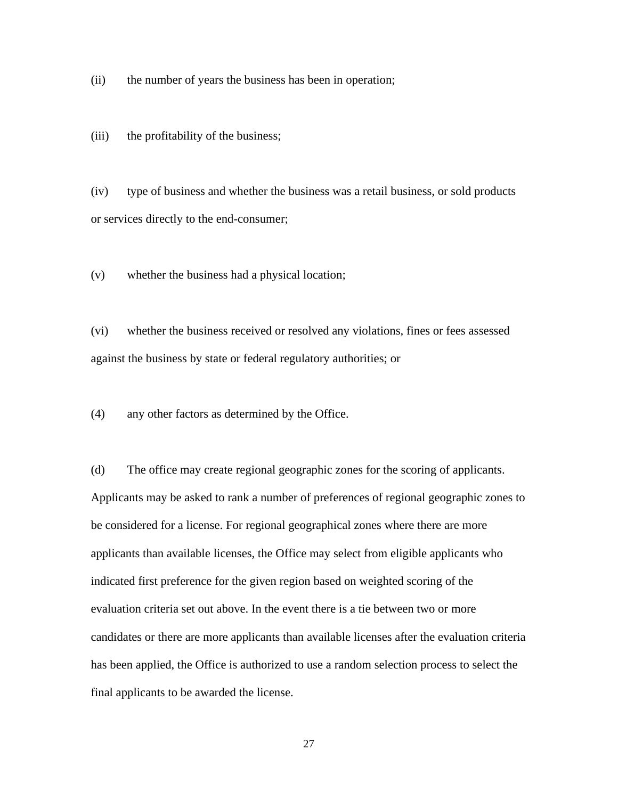(ii) the number of years the business has been in operation;

(iii) the profitability of the business;

(iv) type of business and whether the business was a retail business, or sold products or services directly to the end-consumer;

(v) whether the business had a physical location;

(vi) whether the business received or resolved any violations, fines or fees assessed against the business by state or federal regulatory authorities; or

(4) any other factors as determined by the Office.

(d) The office may create regional geographic zones for the scoring of applicants. Applicants may be asked to rank a number of preferences of regional geographic zones to be considered for a license. For regional geographical zones where there are more applicants than available licenses, the Office may select from eligible applicants who indicated first preference for the given region based on weighted scoring of the evaluation criteria set out above. In the event there is a tie between two or more candidates or there are more applicants than available licenses after the evaluation criteria has been applied, the Office is authorized to use a random selection process to select the final applicants to be awarded the license.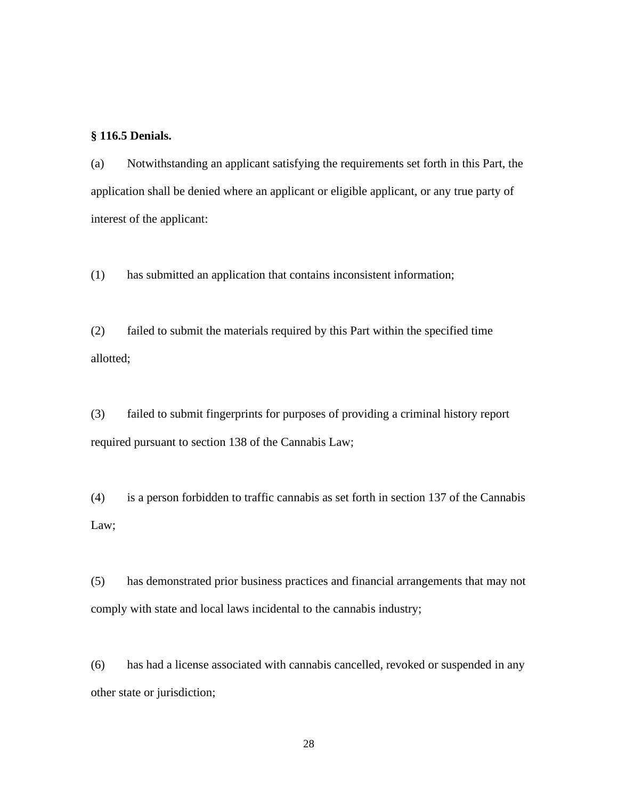#### <span id="page-27-0"></span>**§ 116.5 Denials.**

(a) Notwithstanding an applicant satisfying the requirements set forth in this Part, the application shall be denied where an applicant or eligible applicant, or any true party of interest of the applicant:

(1) has submitted an application that contains inconsistent information;

(2) failed to submit the materials required by this Part within the specified time allotted;

(3) failed to submit fingerprints for purposes of providing a criminal history report required pursuant to section 138 of the Cannabis Law;

(4) is a person forbidden to traffic cannabis as set forth in section 137 of the Cannabis Law;

(5) has demonstrated prior business practices and financial arrangements that may not comply with state and local laws incidental to the cannabis industry;

(6) has had a license associated with cannabis cancelled, revoked or suspended in any other state or jurisdiction;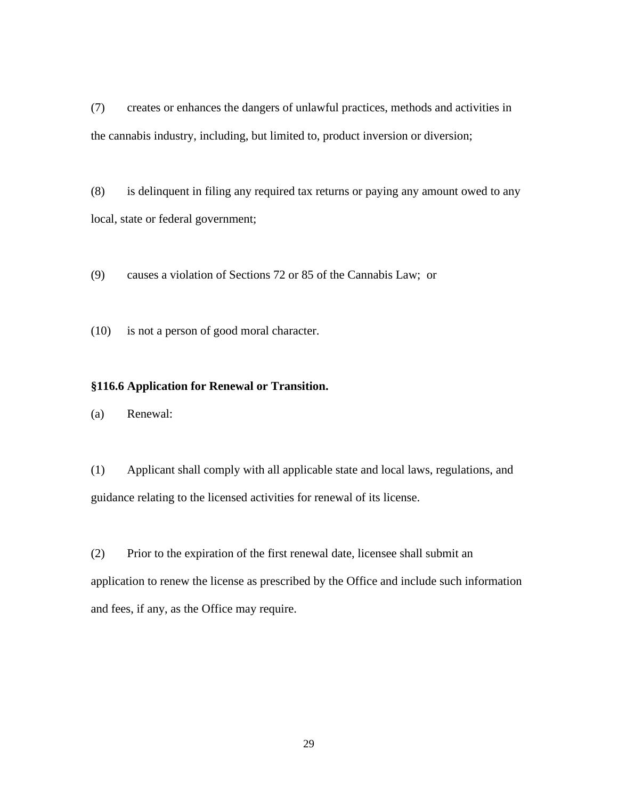(7) creates or enhances the dangers of unlawful practices, methods and activities in the cannabis industry, including, but limited to, product inversion or diversion;

(8) is delinquent in filing any required tax returns or paying any amount owed to any local, state or federal government;

(9) causes a violation of Sections 72 or 85 of the Cannabis Law; or

(10) is not a person of good moral character.

#### <span id="page-28-0"></span>**§116.6 Application for Renewal or Transition.**

(a) Renewal:

(1) Applicant shall comply with all applicable state and local laws, regulations, and guidance relating to the licensed activities for renewal of its license.

(2) Prior to the expiration of the first renewal date, licensee shall submit an application to renew the license as prescribed by the Office and include such information and fees, if any, as the Office may require.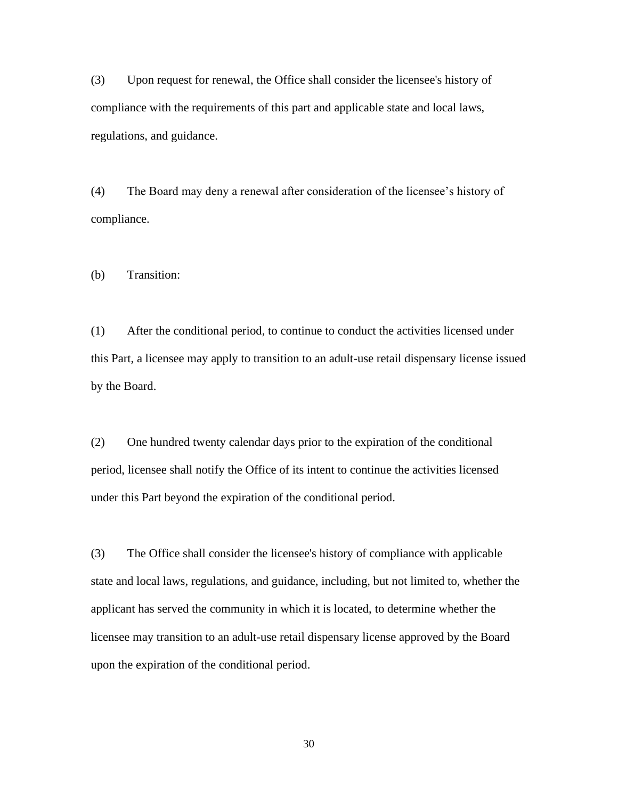(3) Upon request for renewal, the Office shall consider the licensee's history of compliance with the requirements of this part and applicable state and local laws, regulations, and guidance.

(4) The Board may deny a renewal after consideration of the licensee's history of compliance.

(b) Transition:

(1) After the conditional period, to continue to conduct the activities licensed under this Part, a licensee may apply to transition to an adult-use retail dispensary license issued by the Board.

(2) One hundred twenty calendar days prior to the expiration of the conditional period, licensee shall notify the Office of its intent to continue the activities licensed under this Part beyond the expiration of the conditional period.

(3) The Office shall consider the licensee's history of compliance with applicable state and local laws, regulations, and guidance, including, but not limited to, whether the applicant has served the community in which it is located, to determine whether the licensee may transition to an adult-use retail dispensary license approved by the Board upon the expiration of the conditional period.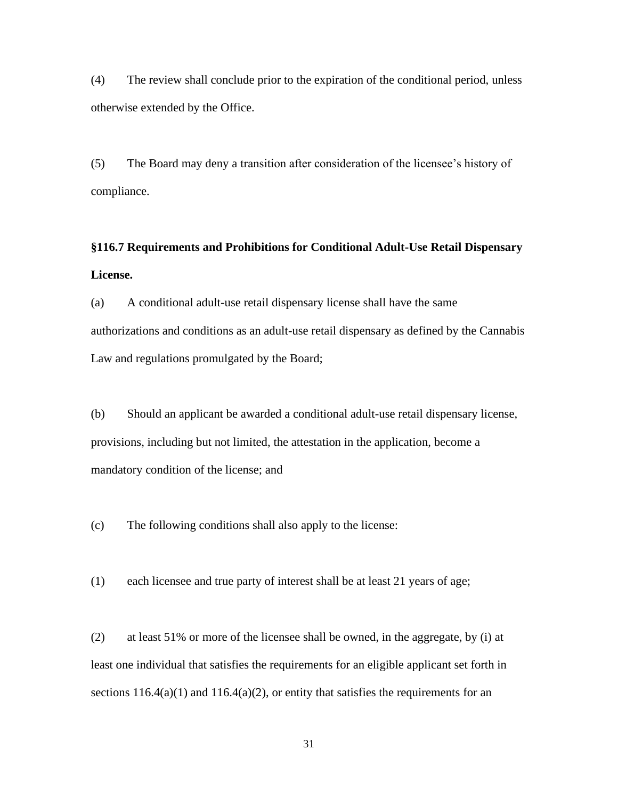(4) The review shall conclude prior to the expiration of the conditional period, unless otherwise extended by the Office.

(5) The Board may deny a transition after consideration of the licensee's history of compliance.

# <span id="page-30-0"></span>**§116.7 Requirements and Prohibitions for Conditional Adult-Use Retail Dispensary License.**

(a) A conditional adult-use retail dispensary license shall have the same authorizations and conditions as an adult-use retail dispensary as defined by the Cannabis Law and regulations promulgated by the Board;

(b) Should an applicant be awarded a conditional adult-use retail dispensary license, provisions, including but not limited, the attestation in the application, become a mandatory condition of the license; and

(c) The following conditions shall also apply to the license:

(1) each licensee and true party of interest shall be at least 21 years of age;

(2) at least 51% or more of the licensee shall be owned, in the aggregate, by (i) at least one individual that satisfies the requirements for an eligible applicant set forth in sections  $116.4(a)(1)$  and  $116.4(a)(2)$ , or entity that satisfies the requirements for an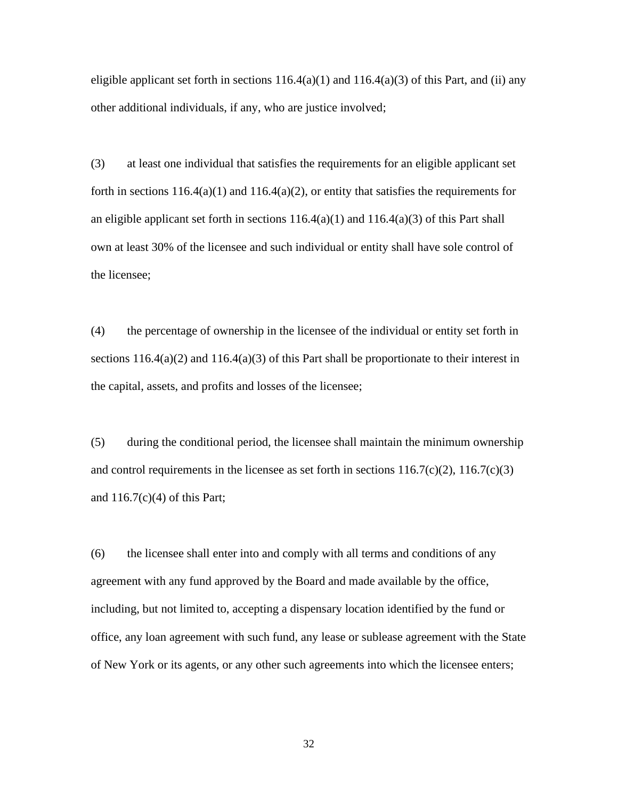eligible applicant set forth in sections  $116.4(a)(1)$  and  $116.4(a)(3)$  of this Part, and (ii) any other additional individuals, if any, who are justice involved;

(3) at least one individual that satisfies the requirements for an eligible applicant set forth in sections  $116.4(a)(1)$  and  $116.4(a)(2)$ , or entity that satisfies the requirements for an eligible applicant set forth in sections  $116.4(a)(1)$  and  $116.4(a)(3)$  of this Part shall own at least 30% of the licensee and such individual or entity shall have sole control of the licensee;

(4) the percentage of ownership in the licensee of the individual or entity set forth in sections  $116.4(a)(2)$  and  $116.4(a)(3)$  of this Part shall be proportionate to their interest in the capital, assets, and profits and losses of the licensee;

(5) during the conditional period, the licensee shall maintain the minimum ownership and control requirements in the licensee as set forth in sections  $116.7(c)(2)$ ,  $116.7(c)(3)$ and  $116.7(c)(4)$  of this Part;

(6) the licensee shall enter into and comply with all terms and conditions of any agreement with any fund approved by the Board and made available by the office, including, but not limited to, accepting a dispensary location identified by the fund or office, any loan agreement with such fund, any lease or sublease agreement with the State of New York or its agents, or any other such agreements into which the licensee enters;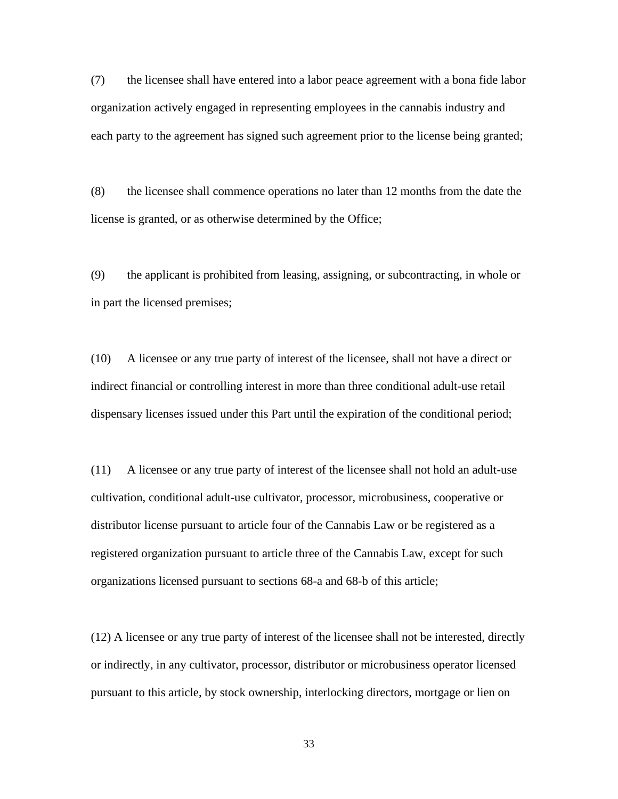(7) the licensee shall have entered into a labor peace agreement with a bona fide labor organization actively engaged in representing employees in the cannabis industry and each party to the agreement has signed such agreement prior to the license being granted;

(8) the licensee shall commence operations no later than 12 months from the date the license is granted, or as otherwise determined by the Office;

(9) the applicant is prohibited from leasing, assigning, or subcontracting, in whole or in part the licensed premises;

(10) A licensee or any true party of interest of the licensee, shall not have a direct or indirect financial or controlling interest in more than three conditional adult-use retail dispensary licenses issued under this Part until the expiration of the conditional period;

(11) A licensee or any true party of interest of the licensee shall not hold an adult-use cultivation, conditional adult-use cultivator, processor, microbusiness, cooperative or distributor license pursuant to article four of the Cannabis Law or be registered as a registered organization pursuant to article three of the Cannabis Law, except for such organizations licensed pursuant to sections 68-a and 68-b of this article;

(12) A licensee or any true party of interest of the licensee shall not be interested, directly or indirectly, in any cultivator, processor, distributor or microbusiness operator licensed pursuant to this article, by stock ownership, interlocking directors, mortgage or lien on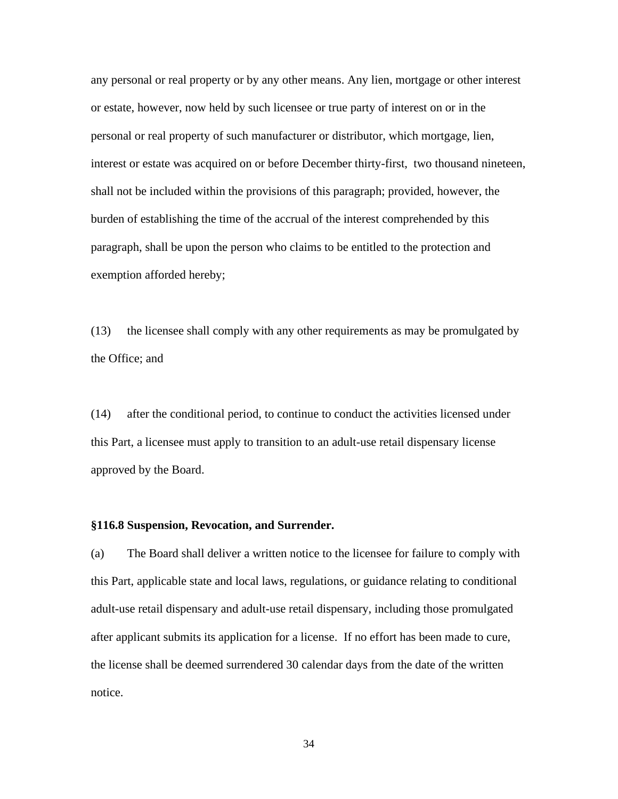any personal or real property or by any other means. Any lien, mortgage or other interest or estate, however, now held by such licensee or true party of interest on or in the personal or real property of such manufacturer or distributor, which mortgage, lien, interest or estate was acquired on or before December thirty-first, two thousand nineteen, shall not be included within the provisions of this paragraph; provided, however, the burden of establishing the time of the accrual of the interest comprehended by this paragraph, shall be upon the person who claims to be entitled to the protection and exemption afforded hereby;

(13) the licensee shall comply with any other requirements as may be promulgated by the Office; and

(14) after the conditional period, to continue to conduct the activities licensed under this Part, a licensee must apply to transition to an adult-use retail dispensary license approved by the Board.

#### <span id="page-33-0"></span>**§116.8 Suspension, Revocation, and Surrender.**

(a) The Board shall deliver a written notice to the licensee for failure to comply with this Part, applicable state and local laws, regulations, or guidance relating to conditional adult-use retail dispensary and adult-use retail dispensary, including those promulgated after applicant submits its application for a license. If no effort has been made to cure, the license shall be deemed surrendered 30 calendar days from the date of the written notice.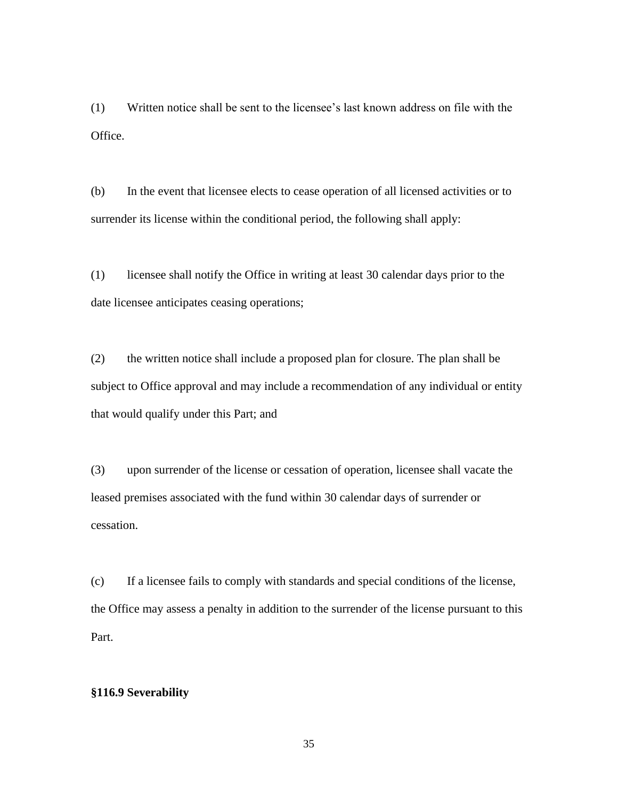(1) Written notice shall be sent to the licensee's last known address on file with the Office.

(b) In the event that licensee elects to cease operation of all licensed activities or to surrender its license within the conditional period, the following shall apply:

(1) licensee shall notify the Office in writing at least 30 calendar days prior to the date licensee anticipates ceasing operations;

(2) the written notice shall include a proposed plan for closure. The plan shall be subject to Office approval and may include a recommendation of any individual or entity that would qualify under this Part; and

(3) upon surrender of the license or cessation of operation, licensee shall vacate the leased premises associated with the fund within 30 calendar days of surrender or cessation.

(c) If a licensee fails to comply with standards and special conditions of the license, the Office may assess a penalty in addition to the surrender of the license pursuant to this Part.

## <span id="page-34-0"></span>**§116.9 Severability**